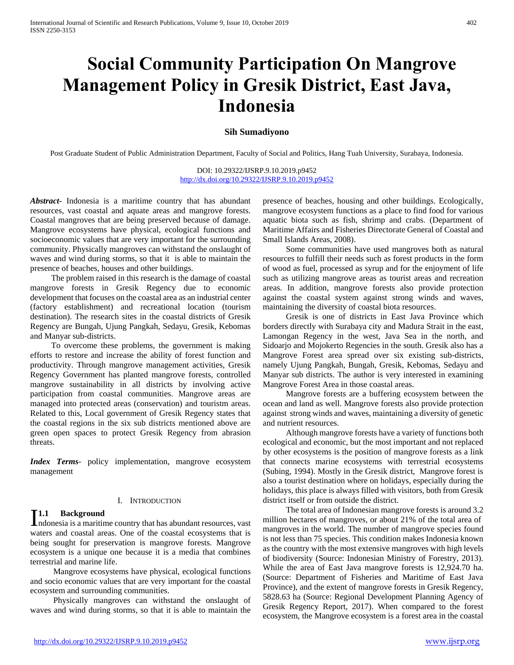# **Social Community Participation On Mangrove Management Policy in Gresik District, East Java, Indonesia**

# **Sih Sumadiyono**

Post Graduate Student of Public Administration Department, Faculty of Social and Politics, Hang Tuah University, Surabaya, Indonesia.

DOI: 10.29322/IJSRP.9.10.2019.p9452 <http://dx.doi.org/10.29322/IJSRP.9.10.2019.p9452>

*Abstract***-** Indonesia is a maritime country that has abundant resources, vast coastal and aquate areas and mangrove forests. Coastal mangroves that are being preserved because of damage. Mangrove ecosystems have physical, ecological functions and socioeconomic values that are very important for the surrounding community. Physically mangroves can withstand the onslaught of waves and wind during storms, so that it is able to maintain the presence of beaches, houses and other buildings.

 The problem raised in this research is the damage of coastal mangrove forests in Gresik Regency due to economic development that focuses on the coastal area as an industrial center (factory establishment) and recreational location (tourism destination). The research sites in the coastal districts of Gresik Regency are Bungah, Ujung Pangkah, Sedayu, Gresik, Kebomas and Manyar sub-districts.

 To overcome these problems, the government is making efforts to restore and increase the ability of forest function and productivity. Through mangrove management activities, Gresik Regency Government has planted mangrove forests, controlled mangrove sustainability in all districts by involving active participation from coastal communities. Mangrove areas are managed into protected areas (conservation) and touristm areas. Related to this, Local government of Gresik Regency states that the coastal regions in the six sub districts mentioned above are green open spaces to protect Gresik Regency from abrasion threats.

*Index Terms*- policy implementation, mangrove ecosystem management

#### I. INTRODUCTION

## **1.1 Background**

**I1.1** Background<br>Indonesia is a maritime country that has abundant resources, vast waters and coastal areas. One of the coastal ecosystems that is being sought for preservation is mangrove forests. Mangrove ecosystem is a unique one because it is a media that combines terrestrial and marine life.

 Mangrove ecosystems have physical, ecological functions and socio economic values that are very important for the coastal ecosystem and surrounding communities.

 Physically mangroves can withstand the onslaught of waves and wind during storms, so that it is able to maintain the presence of beaches, housing and other buildings. Ecologically, mangrove ecosystem functions as a place to find food for various aquatic biota such as fish, shrimp and crabs. (Department of Maritime Affairs and Fisheries Directorate General of Coastal and Small Islands Areas, 2008).

 Some communities have used mangroves both as natural resources to fulfill their needs such as forest products in the form of wood as fuel, processed as syrup and for the enjoyment of life such as utilizing mangrove areas as tourist areas and recreation areas. In addition, mangrove forests also provide protection against the coastal system against strong winds and waves, maintaining the diversity of coastal biota resources.

 Gresik is one of districts in East Java Province which borders directly with Surabaya city and Madura Strait in the east, Lamongan Regency in the west, Java Sea in the north, and Sidoarjo and Mojokerto Regencies in the south. Gresik also has a Mangrove Forest area spread over six existing sub-districts, namely Ujung Pangkah, Bungah, Gresik, Kebomas, Sedayu and Manyar sub districts. The author is very interested in examining Mangrove Forest Area in those coastal areas.

 Mangrove forests are a buffering ecosystem between the ocean and land as well. Mangrove forests also provide protection against strong winds and waves, maintaining a diversity of genetic and nutrient resources.

 Although mangrove forests have a variety of functions both ecological and economic, but the most important and not replaced by other ecosystems is the position of mangrove forests as a link that connects marine ecosystems with terrestrial ecosystems (Subing, 1994). Mostly in the Gresik district, Mangrove forest is also a tourist destination where on holidays, especially during the holidays, this place is always filled with visitors, both from Gresik district itself or from outside the district.

 The total area of Indonesian mangrove forests is around 3.2 million hectares of mangroves, or about 21% of the total area of mangroves in the world. The number of mangrove species found is not less than 75 species. This condition makes Indonesia known as the country with the most extensive mangroves with high levels of biodiversity (Source: Indonesian Ministry of Forestry, 2013). While the area of East Java mangrove forests is 12,924.70 ha. (Source: Department of Fisheries and Maritime of East Java Province), and the extent of mangrove forests in Gresik Regency, 5828.63 ha (Source: Regional Development Planning Agency of Gresik Regency Report, 2017). When compared to the forest ecosystem, the Mangrove ecosystem is a forest area in the coastal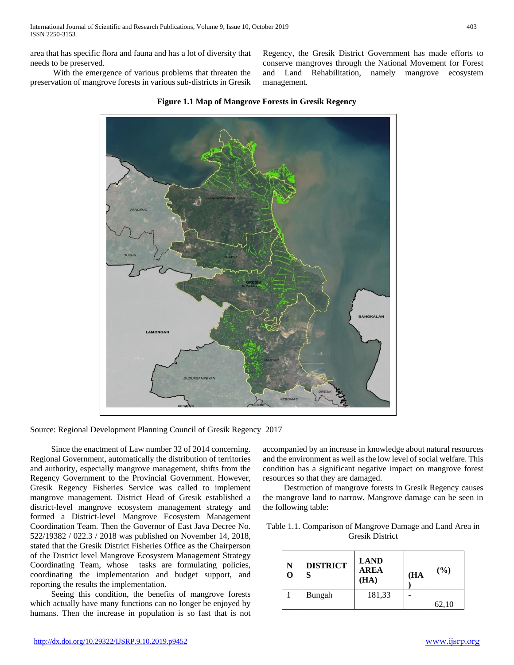area that has specific flora and fauna and has a lot of diversity that needs to be preserved.

 With the emergence of various problems that threaten the preservation of mangrove forests in various sub-districts in Gresik

> NGKAL AP LAMONGAL



management.

Source: Regional Development Planning Council of Gresik Regency 2017

 Since the enactment of Law number 32 of 2014 concerning. Regional Government, automatically the distribution of territories and authority, especially mangrove management, shifts from the Regency Government to the Provincial Government. However, Gresik Regency Fisheries Service was called to implement mangrove management. District Head of Gresik established a district-level mangrove ecosystem management strategy and formed a District-level Mangrove Ecosystem Management Coordination Team. Then the Governor of East Java Decree No. 522/19382 / 022.3 / 2018 was published on November 14, 2018, stated that the Gresik District Fisheries Office as the Chairperson of the District level Mangrove Ecosystem Management Strategy Coordinating Team, whose tasks are formulating policies, coordinating the implementation and budget support, and reporting the results the implementation.

 Seeing this condition, the benefits of mangrove forests which actually have many functions can no longer be enjoyed by humans. Then the increase in population is so fast that is not accompanied by an increase in knowledge about natural resources and the environment as well as the low level of social welfare. This condition has a significant negative impact on mangrove forest resources so that they are damaged.

Regency, the Gresik District Government has made efforts to conserve mangroves through the National Movement for Forest and Land Rehabilitation, namely mangrove ecosystem

 Destruction of mangrove forests in Gresik Regency causes the mangrove land to narrow. Mangrove damage can be seen in the following table:

| Table 1.1. Comparison of Mangrove Damage and Land Area in |  |  |  |  |  |
|-----------------------------------------------------------|--|--|--|--|--|
| <b>Gresik District</b>                                    |  |  |  |  |  |

| N<br>O | <b>DISTRICT</b><br>S | <b>LAND</b><br><b>AREA</b><br>(HA) | (HA | (%)   |
|--------|----------------------|------------------------------------|-----|-------|
|        | Bungah               | 181,33                             |     |       |
|        |                      |                                    |     | 62,10 |

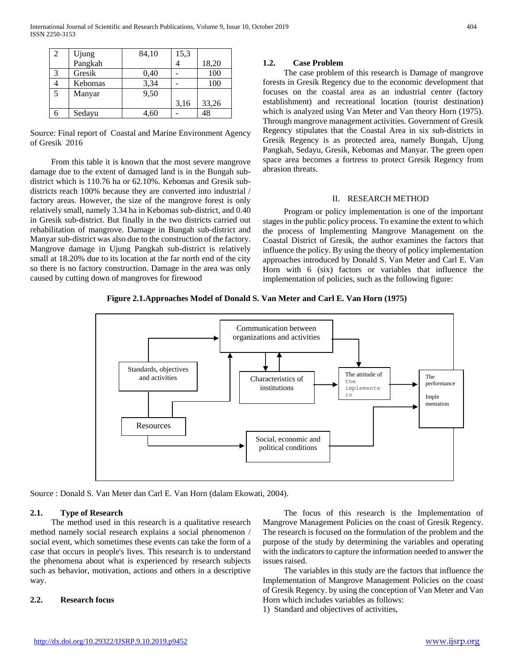| 2 | Ujung   | 84,10 | 15,3 |       |
|---|---------|-------|------|-------|
|   | Pangkah |       |      | 18,20 |
| 3 | Gresik  | 0.40  |      | 100   |
|   | Kebomas | 3,34  |      | 100   |
| 5 | Manyar  | 9,50  |      |       |
|   |         |       | 3,16 | 33,26 |
|   | Sedayu  | 4,60  |      | 48    |

Source: Final report of Coastal and Marine Environment Agency of Gresik 2016

 From this table it is known that the most severe mangrove damage due to the extent of damaged land is in the Bungah subdistrict which is 110.76 ha or 62.10%. Kebomas and Gresik subdistricts reach 100% because they are converted into industrial / factory areas. However, the size of the mangrove forest is only relatively small, namely 3.34 ha in Kebomas sub-district, and 0.40 in Gresik sub-district. But finally in the two districts carried out rehabilitation of mangrove. Damage in Bungah sub-district and Manyar sub-district was also due to the construction of the factory. Mangrove damage in Ujung Pangkah sub-district is relatively small at 18.20% due to its location at the far north end of the city so there is no factory construction. Damage in the area was only caused by cutting down of mangroves for firewood

#### **1.2. Case Problem**

 The case problem of this research is Damage of mangrove forests in Gresik Regency due to the economic development that focuses on the coastal area as an industrial center (factory establishment) and recreational location (tourist destination) which is analyzed using Van Meter and Van theory Horn (1975). Through mangrove management activities. Government of Gresik Regency stipulates that the Coastal Area in six sub-districts in Gresik Regency is as protected area, namely Bungah, Ujung Pangkah, Sedayu, Gresik, Kebomas and Manyar. The green open space area becomes a fortress to protect Gresik Regency from abrasion threats.

#### II. RESEARCH METHOD

 Program or policy implementation is one of the important stages in the public policy process. To examine the extent to which the process of Implementing Mangrove Management on the Coastal District of Gresik, the author examines the factors that influence the policy. By using the theory of policy implementation approaches introduced by Donald S. Van Meter and Carl E. Van Horn with 6 (six) factors or variables that influence the implementation of policies, such as the following figure:

#### **Figure 2.1.Approaches Model of Donald S. Van Meter and Carl E. Van Horn (1975)**



Source : Donald S. Van Meter dan Carl E. Van Horn (dalam Ekowati, 2004).

#### **2.1. Type of Research**

 The method used in this research is a qualitative research method namely social research explains a social phenomenon / social event, which sometimes these events can take the form of a case that occurs in people's lives. This research is to understand the phenomena about what is experienced by research subjects such as behavior, motivation, actions and others in a descriptive way.

#### **2.2. Research focus**

 The focus of this research is the Implementation of Mangrove Management Policies on the coast of Gresik Regency. The research is focused on the formulation of the problem and the purpose of the study by determining the variables and operating with the indicators to capture the information needed to answer the issues raised.

 The variables in this study are the factors that influence the Implementation of Mangrove Management Policies on the coast of Gresik Regency. by using the conception of Van Meter and Van Horn which includes variables as follows:

1) Standard and objectives of activities,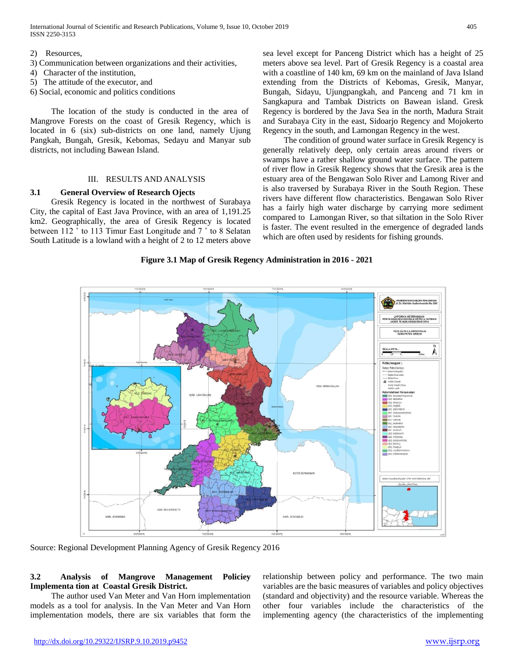International Journal of Scientific and Research Publications, Volume 9, Issue 10, October 2019 405 ISSN 2250-3153

2) Resources,

- 3) Communication between organizations and their activities,
- 4) Character of the institution,
- 5) The attitude of the executor, and
- 6) Social, economic and politics conditions

 The location of the study is conducted in the area of Mangrove Forests on the coast of Gresik Regency, which is located in 6 (six) sub-districts on one land, namely Ujung Pangkah, Bungah, Gresik, Kebomas, Sedayu and Manyar sub districts, not including Bawean Island.

#### III. RESULTS AND ANALYSIS

#### **3.1 General Overview of Research Ojects**

 Gresik Regency is located in the northwest of Surabaya City, the capital of East Java Province, with an area of 1,191.25 km2. Geographically, the area of Gresik Regency is located between 112 ˚ to 113 Timur East Longitude and 7 ˚ to 8 Selatan South Latitude is a lowland with a height of 2 to 12 meters above

sea level except for Panceng District which has a height of 25 meters above sea level. Part of Gresik Regency is a coastal area with a coastline of 140 km, 69 km on the mainland of Java Island extending from the Districts of Kebomas, Gresik, Manyar, Bungah, Sidayu, Ujungpangkah, and Panceng and 71 km in Sangkapura and Tambak Districts on Bawean island. Gresk Regency is bordered by the Java Sea in the north, Madura Strait and Surabaya City in the east, Sidoarjo Regency and Mojokerto Regency in the south, and Lamongan Regency in the west.

 The condition of ground water surface in Gresik Regency is generally relatively deep, only certain areas around rivers or swamps have a rather shallow ground water surface. The pattern of river flow in Gresik Regency shows that the Gresik area is the estuary area of the Bengawan Solo River and Lamong River and is also traversed by Surabaya River in the South Region. These rivers have different flow characteristics. Bengawan Solo River has a fairly high water discharge by carrying more sediment compared to Lamongan River, so that siltation in the Solo River is faster. The event resulted in the emergence of degraded lands which are often used by residents for fishing grounds.

#### **Figure 3.1 Map of Gresik Regency Administration in 2016 - 2021**



Source: Regional Development Planning Agency of Gresik Regency 2016

## **3.2 Analysis of Mangrove Management Policiey Implementa tion at Coastal Gresik District.**

 The author used Van Meter and Van Horn implementation models as a tool for analysis. In the Van Meter and Van Horn implementation models, there are six variables that form the

relationship between policy and performance. The two main variables are the basic measures of variables and policy objectives (standard and objectivity) and the resource variable. Whereas the other four variables include the characteristics of the implementing agency (the characteristics of the implementing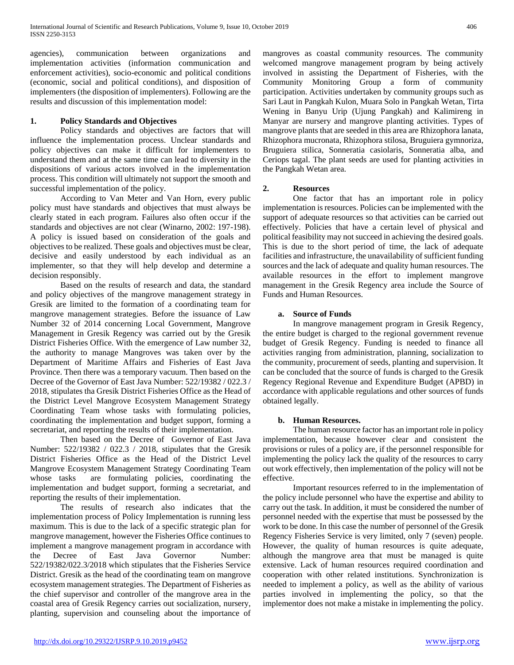agencies), communication between organizations and implementation activities (information communication and enforcement activities), socio-economic and political conditions (economic, social and political conditions), and disposition of implementers (the disposition of implementers). Following are the results and discussion of this implementation model:

# **1. Policy Standards and Objectives**

Policy standards and objectives are factors that will influence the implementation process. Unclear standards and policy objectives can make it difficult for implementers to understand them and at the same time can lead to diversity in the dispositions of various actors involved in the implementation process. This condition will ultimately not support the smooth and successful implementation of the policy.

According to Van Meter and Van Horn, every public policy must have standards and objectives that must always be clearly stated in each program. Failures also often occur if the standards and objectives are not clear (Winarno, 2002: 197-198). A policy is issued based on consideration of the goals and objectives to be realized. These goals and objectives must be clear, decisive and easily understood by each individual as an implementer, so that they will help develop and determine a decision responsibly.

Based on the results of research and data, the standard and policy objectives of the mangrove management strategy in Gresik are limited to the formation of a coordinating team for mangrove management strategies. Before the issuance of Law Number 32 of 2014 concerning Local Government, Mangrove Management in Gresik Regency was carried out by the Gresik District Fisheries Office. With the emergence of Law number 32, the authority to manage Mangroves was taken over by the Department of Maritime Affairs and Fisheries of East Java Province. Then there was a temporary vacuum. Then based on the Decree of the Governor of East Java Number: 522/19382 / 022.3 / 2018, stipulates tha Gresik District Fisheries Office as the Head of the District Level Mangrove Ecosystem Management Strategy Coordinating Team whose tasks with formulating policies, coordinating the implementation and budget support, forming a secretariat, and reporting the results of their implementation.

Then based on the Decree of Governor of East Java Number: 522/19382 / 022.3 / 2018, stipulates that the Gresik District Fisheries Office as the Head of the District Level Mangrove Ecosystem Management Strategy Coordinating Team whose tasks are formulating policies, coordinating the implementation and budget support, forming a secretariat, and reporting the results of their implementation.

The results of research also indicates that the implementation process of Policy Implementation is running less maximum. This is due to the lack of a specific strategic plan for mangrove management, however the Fisheries Office continues to implement a mangrove management program in accordance with the Decree of East Java Governor Number: 522/19382/022.3/2018 which stipulates that the Fisheries Service District. Gresik as the head of the coordinating team on mangrove ecosystem management strategies. The Department of Fisheries as the chief supervisor and controller of the mangrove area in the coastal area of Gresik Regency carries out socialization, nursery, planting, supervision and counseling about the importance of mangroves as coastal community resources. The community welcomed mangrove management program by being actively involved in assisting the Department of Fisheries, with the Community Monitoring Group a form of community participation. Activities undertaken by community groups such as Sari Laut in Pangkah Kulon, Muara Solo in Pangkah Wetan, Tirta Wening in Banyu Urip (Ujung Pangkah) and Kalimireng in Manyar are nursery and mangrove planting activities. Types of mangrove plants that are seeded in this area are Rhizophora lanata, Rhizophora mucronata, Rhizophora stilosa, Bruguiera gymnoriza, Bruguiera stilica, Sonneratia casiolaris, Sonneratia alba, and Ceriops tagal. The plant seeds are used for planting activities in the Pangkah Wetan area.

# **2. Resources**

One factor that has an important role in policy implementation is resources. Policies can be implemented with the support of adequate resources so that activities can be carried out effectively. Policies that have a certain level of physical and political feasibility may not succeed in achieving the desired goals. This is due to the short period of time, the lack of adequate facilities and infrastructure, the unavailability of sufficient funding sources and the lack of adequate and quality human resources. The available resources in the effort to implement mangrove management in the Gresik Regency area include the Source of Funds and Human Resources.

## **a. Source of Funds**

In mangrove management program in Gresik Regency, the entire budget is charged to the regional government revenue budget of Gresik Regency. Funding is needed to finance all activities ranging from administration, planning, socialization to the community, procurement of seeds, planting and supervision. It can be concluded that the source of funds is charged to the Gresik Regency Regional Revenue and Expenditure Budget (APBD) in accordance with applicable regulations and other sources of funds obtained legally.

## **b. Human Resources.**

The human resource factor has an important role in policy implementation, because however clear and consistent the provisions or rules of a policy are, if the personnel responsible for implementing the policy lack the quality of the resources to carry out work effectively, then implementation of the policy will not be effective.

Important resources referred to in the implementation of the policy include personnel who have the expertise and ability to carry out the task. In addition, it must be considered the number of personnel needed with the expertise that must be possessed by the work to be done. In this case the number of personnel of the Gresik Regency Fisheries Service is very limited, only 7 (seven) people. However, the quality of human resources is quite adequate, although the mangrove area that must be managed is quite extensive. Lack of human resources required coordination and cooperation with other related institutions. Synchronization is needed to implement a policy, as well as the ability of various parties involved in implementing the policy, so that the implementor does not make a mistake in implementing the policy.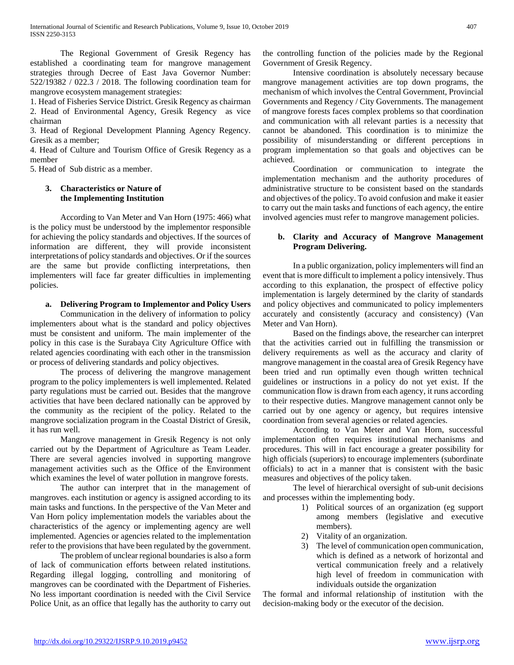The Regional Government of Gresik Regency has established a coordinating team for mangrove management strategies through Decree of East Java Governor Number: 522/19382 / 022.3 / 2018. The following coordination team for mangrove ecosystem management strategies:

1. Head of Fisheries Service District. Gresik Regency as chairman 2. Head of Environmental Agency, Gresik Regency as vice chairman

3. Head of Regional Development Planning Agency Regency. Gresik as a member;

4. Head of Culture and Tourism Office of Gresik Regency as a member

5. Head of Sub distric as a member.

## **3. Characteristics or Nature of the Implementing Institution**

According to Van Meter and Van Horn (1975: 466) what is the policy must be understood by the implementor responsible for achieving the policy standards and objectives. If the sources of information are different, they will provide inconsistent interpretations of policy standards and objectives. Or if the sources are the same but provide conflicting interpretations, then implementers will face far greater difficulties in implementing policies.

# **a. Delivering Program to Implementor and Policy Users**

Communication in the delivery of information to policy implementers about what is the standard and policy objectives must be consistent and uniform. The main implementer of the policy in this case is the Surabaya City Agriculture Office with related agencies coordinating with each other in the transmission or process of delivering standards and policy objectives.

The process of delivering the mangrove management program to the policy implementers is well implemented. Related party regulations must be carried out. Besides that the mangrove activities that have been declared nationally can be approved by the community as the recipient of the policy. Related to the mangrove socialization program in the Coastal District of Gresik, it has run well.

Mangrove management in Gresik Regency is not only carried out by the Department of Agriculture as Team Leader. There are several agencies involved in supporting mangrove management activities such as the Office of the Environment which examines the level of water pollution in mangrove forests.

The author can interpret that in the management of mangroves. each institution or agency is assigned according to its main tasks and functions. In the perspective of the Van Meter and Van Horn policy implementation models the variables about the characteristics of the agency or implementing agency are well implemented. Agencies or agencies related to the implementation refer to the provisions that have been regulated by the government.

The problem of unclear regional boundaries is also a form of lack of communication efforts between related institutions. Regarding illegal logging, controlling and monitoring of mangroves can be coordinated with the Department of Fisheries. No less important coordination is needed with the Civil Service Police Unit, as an office that legally has the authority to carry out

the controlling function of the policies made by the Regional Government of Gresik Regency.

Intensive coordination is absolutely necessary because mangrove management activities are top down programs, the mechanism of which involves the Central Government, Provincial Governments and Regency / City Governments. The management of mangrove forests faces complex problems so that coordination and communication with all relevant parties is a necessity that cannot be abandoned. This coordination is to minimize the possibility of misunderstanding or different perceptions in program implementation so that goals and objectives can be achieved.

Coordination or communication to integrate the implementation mechanism and the authority procedures of administrative structure to be consistent based on the standards and objectives of the policy. To avoid confusion and make it easier to carry out the main tasks and functions of each agency, the entire involved agencies must refer to mangrove management policies.

## **b. Clarity and Accuracy of Mangrove Management Program Delivering.**

In a public organization, policy implementers will find an event that is more difficult to implement a policy intensively. Thus according to this explanation, the prospect of effective policy implementation is largely determined by the clarity of standards and policy objectives and communicated to policy implementers accurately and consistently (accuracy and consistency) (Van Meter and Van Horn).

Based on the findings above, the researcher can interpret that the activities carried out in fulfilling the transmission or delivery requirements as well as the accuracy and clarity of mangrove management in the coastal area of Gresik Regency have been tried and run optimally even though written technical guidelines or instructions in a policy do not yet exist. If the communication flow is drawn from each agency, it runs according to their respective duties. Mangrove management cannot only be carried out by one agency or agency, but requires intensive coordination from several agencies or related agencies.

According to Van Meter and Van Horn, successful implementation often requires institutional mechanisms and procedures. This will in fact encourage a greater possibility for high officials (superiors) to encourage implementers (subordinate officials) to act in a manner that is consistent with the basic measures and objectives of the policy taken.

The level of hierarchical oversight of sub-unit decisions and processes within the implementing body.

- 1) Political sources of an organization (eg support among members (legislative and executive members).
- 2) Vitality of an organization.
- 3) The level of communication open communication, which is defined as a network of horizontal and vertical communication freely and a relatively high level of freedom in communication with individuals outside the organization

The formal and informal relationship of institution with the decision-making body or the executor of the decision.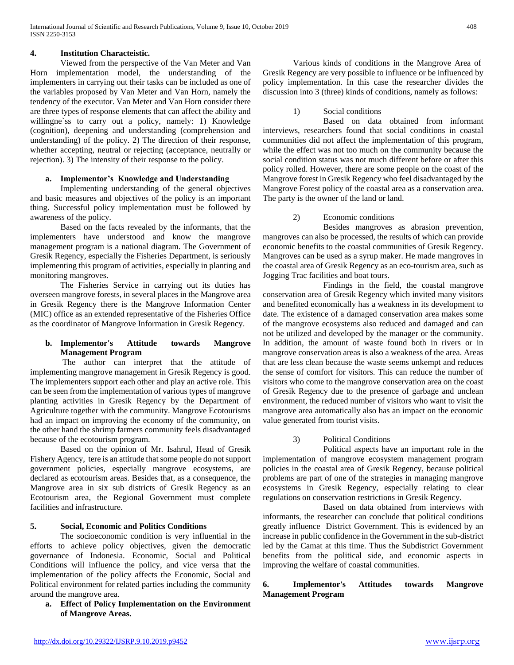## **4. Institution Characteistic.**

Viewed from the perspective of the Van Meter and Van Horn implementation model, the understanding of the implementers in carrying out their tasks can be included as one of the variables proposed by Van Meter and Van Horn, namely the tendency of the executor. Van Meter and Van Horn consider there are three types of response elements that can affect the ability and willingne'ss to carry out a policy, namely: 1) Knowledge (cognition), deepening and understanding (comprehension and understanding) of the policy. 2) The direction of their response, whether accepting, neutral or rejecting (acceptance, neutrally or rejection). 3) The intensity of their response to the policy.

## **a. Implementor's Knowledge and Understanding**

Implementing understanding of the general objectives and basic measures and objectives of the policy is an important thing. Successful policy implementation must be followed by awareness of the policy.

Based on the facts revealed by the informants, that the implementers have understood and know the mangrove management program is a national diagram. The Government of Gresik Regency, especially the Fisheries Department, is seriously implementing this program of activities, especially in planting and monitoring mangroves.

The Fisheries Service in carrying out its duties has overseen mangrove forests, in several places in the Mangrove area in Gresik Regency there is the Mangrove Information Center (MIC) office as an extended representative of the Fisheries Office as the coordinator of Mangrove Information in Gresik Regency.

#### **b. Implementor's Attitude towards Mangrove Management Program**

The author can interpret that the attitude of implementing mangrove management in Gresik Regency is good. The implementers support each other and play an active role. This can be seen from the implementation of various types of mangrove planting activities in Gresik Regency by the Department of Agriculture together with the community. Mangrove Ecotourisms had an impact on improving the economy of the community, on the other hand the shrimp farmers community feels disadvantaged because of the ecotourism program.

Based on the opinion of Mr. Isahrul, Head of Gresik Fishery Agency, tere is an attitude that some people do not support government policies, especially mangrove ecosystems, are declared as ecotourism areas. Besides that, as a consequence, the Mangrove area in six sub districts of Gresik Regency as an Ecotourism area, the Regional Government must complete facilities and infrastructure.

## **5. Social, Economic and Politics Conditions**

The socioeconomic condition is very influential in the efforts to achieve policy objectives, given the democratic governance of Indonesia. Economic, Social and Political Conditions will influence the policy, and vice versa that the implementation of the policy affects the Economic, Social and Political environment for related parties including the community around the mangrove area.

**a. Effect of Policy Implementation on the Environment of Mangrove Areas.**

Various kinds of conditions in the Mangrove Area of Gresik Regency are very possible to influence or be influenced by policy implementation. In this case the researcher divides the discussion into 3 (three) kinds of conditions, namely as follows:

1) Social conditions

Based on data obtained from informant interviews, researchers found that social conditions in coastal communities did not affect the implementation of this program, while the effect was not too much on the community because the social condition status was not much different before or after this policy rolled. However, there are some people on the coast of the Mangrove forest in Gresik Regency who feel disadvantaged by the Mangrove Forest policy of the coastal area as a conservation area. The party is the owner of the land or land.

## 2) Economic conditions

Besides mangroves as abrasion prevention, mangroves can also be processed, the results of which can provide economic benefits to the coastal communities of Gresik Regency. Mangroves can be used as a syrup maker. He made mangroves in the coastal area of Gresik Regency as an eco-tourism area, such as Jogging Trac facilities and boat tours.

Findings in the field, the coastal mangrove conservation area of Gresik Regency which invited many visitors and benefited economically has a weakness in its development to date. The existence of a damaged conservation area makes some of the mangrove ecosystems also reduced and damaged and can not be utilized and developed by the manager or the community. In addition, the amount of waste found both in rivers or in mangrove conservation areas is also a weakness of the area. Areas that are less clean because the waste seems unkempt and reduces the sense of comfort for visitors. This can reduce the number of visitors who come to the mangrove conservation area on the coast of Gresik Regency due to the presence of garbage and unclean environment, the reduced number of visitors who want to visit the mangrove area automatically also has an impact on the economic value generated from tourist visits.

#### 3) Political Conditions

Political aspects have an important role in the implementation of mangrove ecosystem management program policies in the coastal area of Gresik Regency, because political problems are part of one of the strategies in managing mangrove ecosystems in Gresik Regency, especially relating to clear regulations on conservation restrictions in Gresik Regency.

Based on data obtained from interviews with informants, the researcher can conclude that political conditions greatly influence District Government. This is evidenced by an increase in public confidence in the Government in the sub-district led by the Camat at this time. Thus the Subdistrict Government benefits from the political side, and economic aspects in improving the welfare of coastal communities.

## **6. Implementor's Attitudes towards Mangrove Management Program**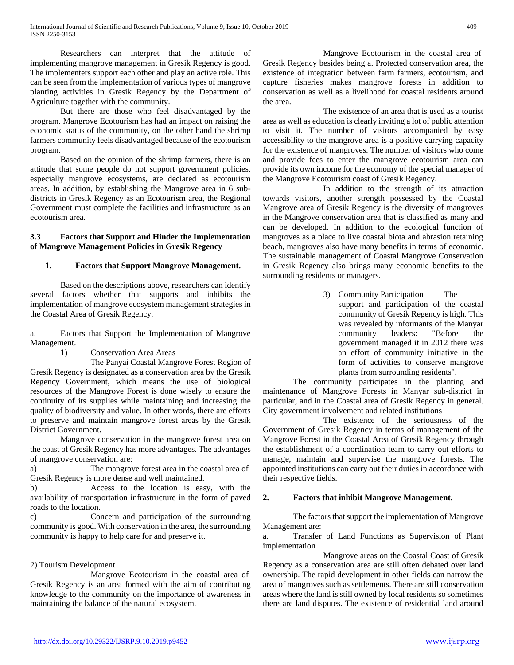Researchers can interpret that the attitude of implementing mangrove management in Gresik Regency is good. The implementers support each other and play an active role. This can be seen from the implementation of various types of mangrove planting activities in Gresik Regency by the Department of Agriculture together with the community.

But there are those who feel disadvantaged by the program. Mangrove Ecotourism has had an impact on raising the economic status of the community, on the other hand the shrimp farmers community feels disadvantaged because of the ecotourism program.

Based on the opinion of the shrimp farmers, there is an attitude that some people do not support government policies, especially mangrove ecosystems, are declared as ecotourism areas. In addition, by establishing the Mangrove area in 6 subdistricts in Gresik Regency as an Ecotourism area, the Regional Government must complete the facilities and infrastructure as an ecotourism area.

## **3.3 Factors that Support and Hinder the Implementation of Mangrove Management Policies in Gresik Regency**

## **1. Factors that Support Mangrove Management.**

Based on the descriptions above, researchers can identify several factors whether that supports and inhibits the implementation of mangrove ecosystem management strategies in the Coastal Area of Gresik Regency.

a. Factors that Support the Implementation of Mangrove Management.

1) Conservation Area Areas

The Panyai Coastal Mangrove Forest Region of Gresik Regency is designated as a conservation area by the Gresik Regency Government, which means the use of biological resources of the Mangrove Forest is done wisely to ensure the continuity of its supplies while maintaining and increasing the quality of biodiversity and value. In other words, there are efforts to preserve and maintain mangrove forest areas by the Gresik District Government.

Mangrove conservation in the mangrove forest area on the coast of Gresik Regency has more advantages. The advantages of mangrove conservation are:

a) The mangrove forest area in the coastal area of Gresik Regency is more dense and well maintained.

b) Access to the location is easy, with the availability of transportation infrastructure in the form of paved roads to the location.

c) Concern and participation of the surrounding community is good. With conservation in the area, the surrounding community is happy to help care for and preserve it.

## 2) Tourism Development

Mangrove Ecotourism in the coastal area of Gresik Regency is an area formed with the aim of contributing knowledge to the community on the importance of awareness in maintaining the balance of the natural ecosystem.

Mangrove Ecotourism in the coastal area of Gresik Regency besides being a. Protected conservation area, the existence of integration between farm farmers, ecotourism, and capture fisheries makes mangrove forests in addition to conservation as well as a livelihood for coastal residents around the area.

The existence of an area that is used as a tourist area as well as education is clearly inviting a lot of public attention to visit it. The number of visitors accompanied by easy accessibility to the mangrove area is a positive carrying capacity for the existence of mangroves. The number of visitors who come and provide fees to enter the mangrove ecotourism area can provide its own income for the economy of the special manager of the Mangrove Ecotourism coast of Gresik Regency.

In addition to the strength of its attraction towards visitors, another strength possessed by the Coastal Mangrove area of Gresik Regency is the diversity of mangroves in the Mangrove conservation area that is classified as many and can be developed. In addition to the ecological function of mangroves as a place to live coastal biota and abrasion retaining beach, mangroves also have many benefits in terms of economic. The sustainable management of Coastal Mangrove Conservation in Gresik Regency also brings many economic benefits to the surrounding residents or managers.

> 3) Community Participation The support and participation of the coastal community of Gresik Regency is high. This was revealed by informants of the Manyar community leaders: "Before the government managed it in 2012 there was an effort of community initiative in the form of activities to conserve mangrove plants from surrounding residents".

The community participates in the planting and maintenance of Mangrove Forests in Manyar sub-district in particular, and in the Coastal area of Gresik Regency in general. City government involvement and related institutions

The existence of the seriousness of the Government of Gresik Regency in terms of management of the Mangrove Forest in the Coastal Area of Gresik Regency through the establishment of a coordination team to carry out efforts to manage, maintain and supervise the mangrove forests. The appointed institutions can carry out their duties in accordance with their respective fields.

## **2. Factors that inhibit Mangrove Management.**

The factors that support the implementation of Mangrove Management are:

a. Transfer of Land Functions as Supervision of Plant implementation

Mangrove areas on the Coastal Coast of Gresik Regency as a conservation area are still often debated over land ownership. The rapid development in other fields can narrow the area of mangroves such as settlements. There are still conservation areas where the land is still owned by local residents so sometimes there are land disputes. The existence of residential land around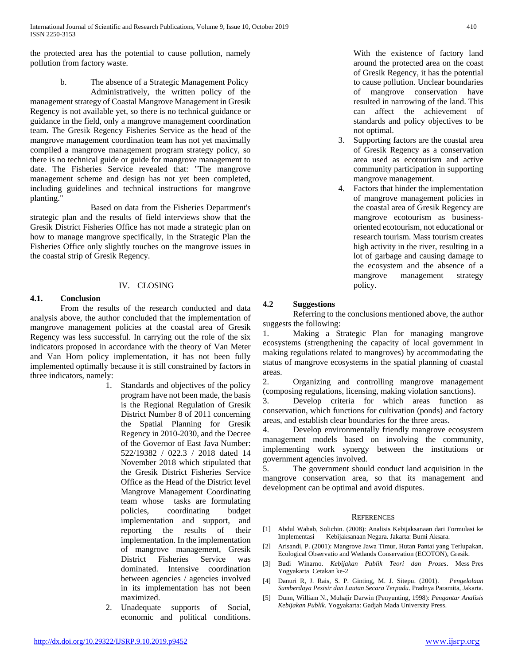the protected area has the potential to cause pollution, namely pollution from factory waste.

> b. The absence of a Strategic Management Policy Administratively, the written policy of the

management strategy of Coastal Mangrove Management in Gresik Regency is not available yet, so there is no technical guidance or guidance in the field, only a mangrove management coordination team. The Gresik Regency Fisheries Service as the head of the mangrove management coordination team has not yet maximally compiled a mangrove management program strategy policy, so there is no technical guide or guide for mangrove management to date. The Fisheries Service revealed that: "The mangrove management scheme and design has not yet been completed, including guidelines and technical instructions for mangrove planting."

Based on data from the Fisheries Department's strategic plan and the results of field interviews show that the Gresik District Fisheries Office has not made a strategic plan on how to manage mangrove specifically, in the Strategic Plan the Fisheries Office only slightly touches on the mangrove issues in the coastal strip of Gresik Regency.

## IV. CLOSING

## **4.1. Conclusion**

From the results of the research conducted and data analysis above, the author concluded that the implementation of mangrove management policies at the coastal area of Gresik Regency was less successful. In carrying out the role of the six indicators proposed in accordance with the theory of Van Meter and Van Horn policy implementation, it has not been fully implemented optimally because it is still constrained by factors in three indicators, namely:

- 1. Standards and objectives of the policy program have not been made, the basis is the Regional Regulation of Gresik District Number 8 of 2011 concerning the Spatial Planning for Gresik Regency in 2010-2030, and the Decree of the Governor of East Java Number: 522/19382 / 022.3 / 2018 dated 14 November 2018 which stipulated that the Gresik District Fisheries Service Office as the Head of the District level Mangrove Management Coordinating team whose tasks are formulating policies, coordinating budget implementation and support, and reporting the results of their implementation. In the implementation of mangrove management, Gresik District Fisheries Service was dominated. Intensive coordination between agencies / agencies involved in its implementation has not been maximized.
- 2. Unadequate supports of Social, economic and political conditions.

With the existence of factory land around the protected area on the coast of Gresik Regency, it has the potential to cause pollution. Unclear boundaries of mangrove conservation have resulted in narrowing of the land. This can affect the achievement of standards and policy objectives to be not optimal.

- 3. Supporting factors are the coastal area of Gresik Regency as a conservation area used as ecotourism and active community participation in supporting mangrove management.
- 4. Factors that hinder the implementation of mangrove management policies in the coastal area of Gresik Regency are mangrove ecotourism as businessoriented ecotourism, not educational or research tourism. Mass tourism creates high activity in the river, resulting in a lot of garbage and causing damage to the ecosystem and the absence of a mangrove management strategy policy.

## **4.2 Suggestions**

Referring to the conclusions mentioned above, the author suggests the following:

1. Making a Strategic Plan for managing mangrove ecosystems (strengthening the capacity of local government in making regulations related to mangroves) by accommodating the status of mangrove ecosystems in the spatial planning of coastal areas.

2. Organizing and controlling mangrove management (composing regulations, licensing, making violation sanctions).

3. Develop criteria for which areas function as conservation, which functions for cultivation (ponds) and factory areas, and establish clear boundaries for the three areas.

4. Develop environmentally friendly mangrove ecosystem management models based on involving the community, implementing work synergy between the institutions or government agencies involved.

5. The government should conduct land acquisition in the mangrove conservation area, so that its management and development can be optimal and avoid disputes.

#### **REFERENCES**

- [1] Abdul Wahab, Solichin. (2008): Analisis Kebijaksanaan dari Formulasi ke Implementasi Kebijaksanaan Negara. Jakarta: Bumi Aksara.
- [2] Arisandi, P. (2001): Mangrove Jawa Timur, Hutan Pantai yang Terlupakan, Ecological Observatio and Wetlands Conservation (ECOTON), Gresik.
- [3] Budi Winarno. *Kebijakan Publik Teori dan Proses*. Mess Pres Yogyakarta Cetakan ke-2
- [4] Danuri R, J. Rais, S. P. Ginting, M. J. Sitepu. (2001). *Pengelolaan Sumberdaya Pesisir dan Lautan Secara Terpadu*. Pradnya Paramita, Jakarta.
- [5] Dunn, William N., Muhajir Darwin (Penyunting, 1998): *Pengantar Analisis Kebijakan Publik.* Yogyakarta: Gadjah Mada University Press.